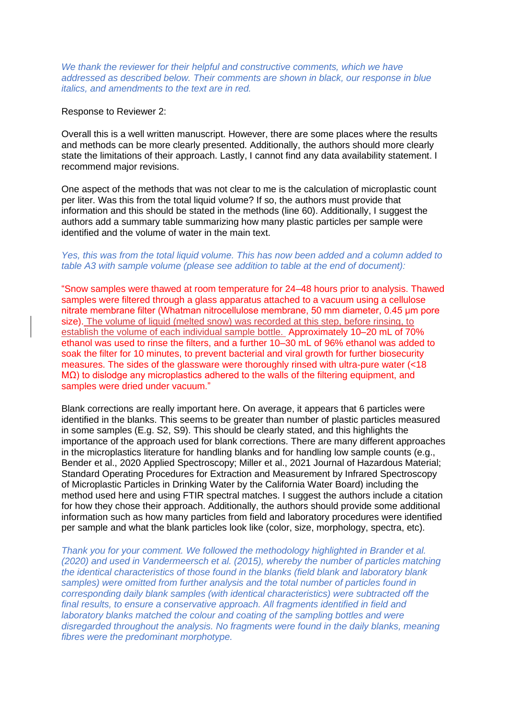We thank the reviewer for their helpful and constructive comments, which we have *addressed as described below. Their comments are shown in black, our response in blue italics, and amendments to the text are in red.*

#### Response to Reviewer 2:

Overall this is a well written manuscript. However, there are some places where the results and methods can be more clearly presented. Additionally, the authors should more clearly state the limitations of their approach. Lastly, I cannot find any data availability statement. I recommend major revisions.

One aspect of the methods that was not clear to me is the calculation of microplastic count per liter. Was this from the total liquid volume? If so, the authors must provide that information and this should be stated in the methods (line 60). Additionally, I suggest the authors add a summary table summarizing how many plastic particles per sample were identified and the volume of water in the main text.

## *Yes, this was from the total liquid volume. This has now been added and a column added to table A3 with sample volume (please see addition to table at the end of document):*

"Snow samples were thawed at room temperature for 24–48 hours prior to analysis. Thawed samples were filtered through a glass apparatus attached to a vacuum using a cellulose nitrate membrane filter (Whatman nitrocellulose membrane, 50 mm diameter, 0.45 μm pore size). The volume of liquid (melted snow) was recorded at this step, before rinsing, to establish the volume of each individual sample bottle. Approximately 10–20 mL of 70% ethanol was used to rinse the filters, and a further 10–30 mL of 96% ethanol was added to soak the filter for 10 minutes, to prevent bacterial and viral growth for further biosecurity measures. The sides of the glassware were thoroughly rinsed with ultra-pure water (<18 MΩ) to dislodge any microplastics adhered to the walls of the filtering equipment, and samples were dried under vacuum."

Blank corrections are really important here. On average, it appears that 6 particles were identified in the blanks. This seems to be greater than number of plastic particles measured in some samples (E.g. S2, S9). This should be clearly stated, and this highlights the importance of the approach used for blank corrections. There are many different approaches in the microplastics literature for handling blanks and for handling low sample counts (e.g., Bender et al., 2020 Applied Spectroscopy; Miller et al., 2021 Journal of Hazardous Material; Standard Operating Procedures for Extraction and Measurement by Infrared Spectroscopy of Microplastic Particles in Drinking Water by the California Water Board) including the method used here and using FTIR spectral matches. I suggest the authors include a citation for how they chose their approach. Additionally, the authors should provide some additional information such as how many particles from field and laboratory procedures were identified per sample and what the blank particles look like (color, size, morphology, spectra, etc).

*Thank you for your comment. We followed the methodology highlighted in Brander et al. (2020) and used in Vandermeersch et al. (2015), whereby the number of particles matching the identical characteristics of those found in the blanks (field blank and laboratory blank samples) were omitted from further analysis and the total number of particles found in corresponding daily blank samples (with identical characteristics) were subtracted off the final results, to ensure a conservative approach. All fragments identified in field and laboratory blanks matched the colour and coating of the sampling bottles and were disregarded throughout the analysis. No fragments were found in the daily blanks, meaning fibres were the predominant morphotype.*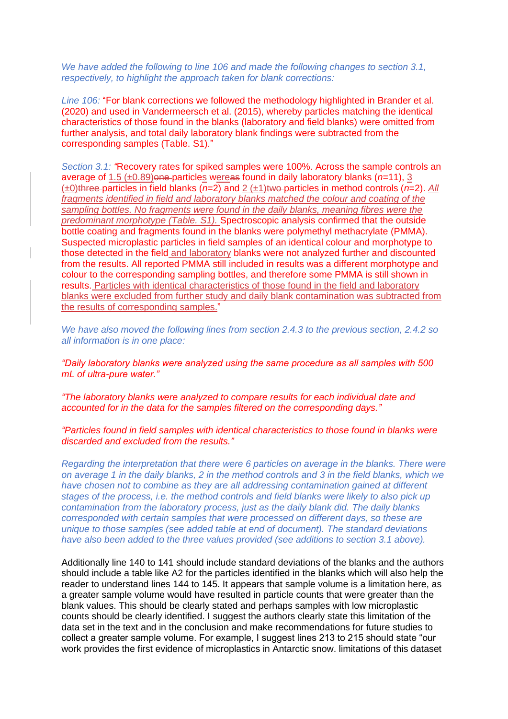*We have added the following to line 106 and made the following changes to section 3.1, respectively, to highlight the approach taken for blank corrections:*

*Line 106:* "For blank corrections we followed the methodology highlighted in Brander et al. (2020) and used in Vandermeersch et al. (2015), whereby particles matching the identical characteristics of those found in the blanks (laboratory and field blanks) were omitted from further analysis, and total daily laboratory blank findings were subtracted from the corresponding samples (Table. S1)."

*Section 3.1: "*Recovery rates for spiked samples were 100%. Across the sample controls an average of 1.5 (±0.89)one particles wereas found in daily laboratory blanks (*n*=11), 3 (±0)three particles in field blanks (*n*=2) and 2 (±1)two particles in method controls (*n*=2). *All fragments identified in field and laboratory blanks matched the colour and coating of the sampling bottles. No fragments were found in the daily blanks, meaning fibres were the predominant morphotype (Table. S1).* Spectroscopic analysis confirmed that the outside bottle coating and fragments found in the blanks were polymethyl methacrylate (PMMA). Suspected microplastic particles in field samples of an identical colour and morphotype to those detected in the field and laboratory blanks were not analyzed further and discounted from the results. All reported PMMA still included in results was a different morphotype and colour to the corresponding sampling bottles, and therefore some PMMA is still shown in results. Particles with identical characteristics of those found in the field and laboratory blanks were excluded from further study and daily blank contamination was subtracted from the results of corresponding samples."

*We have also moved the following lines from section 2.4.3 to the previous section, 2.4.2 so all information is in one place:*

*"Daily laboratory blanks were analyzed using the same procedure as all samples with 500 mL of ultra-pure water."*

*"The laboratory blanks were analyzed to compare results for each individual date and accounted for in the data for the samples filtered on the corresponding days."*

*"Particles found in field samples with identical characteristics to those found in blanks were discarded and excluded from the results."*

*Regarding the interpretation that there were 6 particles on average in the blanks. There were on average 1 in the daily blanks, 2 in the method controls and 3 in the field blanks, which we have chosen not to combine as they are all addressing contamination gained at different stages of the process, i.e. the method controls and field blanks were likely to also pick up contamination from the laboratory process, just as the daily blank did. The daily blanks corresponded with certain samples that were processed on different days, so these are unique to those samples (see added table at end of document). The standard deviations have also been added to the three values provided (see additions to section 3.1 above).*

Additionally line 140 to 141 should include standard deviations of the blanks and the authors should include a table like A2 for the particles identified in the blanks which will also help the reader to understand lines 144 to 145. It appears that sample volume is a limitation here, as a greater sample volume would have resulted in particle counts that were greater than the blank values. This should be clearly stated and perhaps samples with low microplastic counts should be clearly identified. I suggest the authors clearly state this limitation of the data set in the text and in the conclusion and make recommendations for future studies to collect a greater sample volume. For example, I suggest lines 213 to 215 should state "our work provides the first evidence of microplastics in Antarctic snow. limitations of this dataset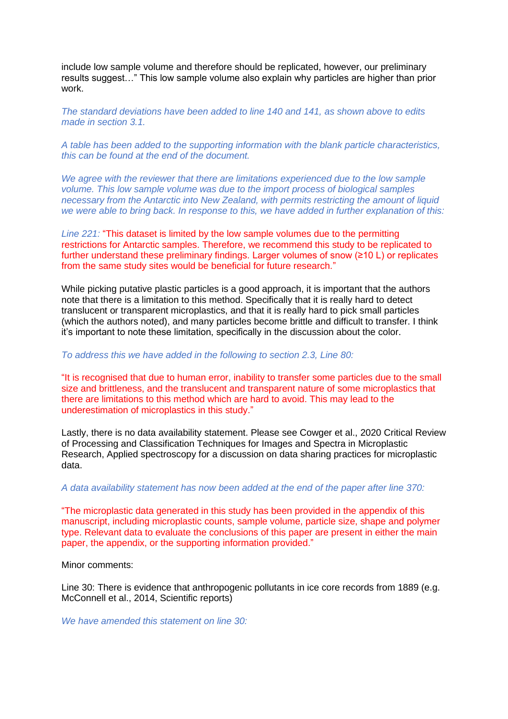include low sample volume and therefore should be replicated, however, our preliminary results suggest…" This low sample volume also explain why particles are higher than prior work.

*The standard deviations have been added to line 140 and 141, as shown above to edits made in section 3.1.*

*A table has been added to the supporting information with the blank particle characteristics, this can be found at the end of the document.*

*We agree with the reviewer that there are limitations experienced due to the low sample volume. This low sample volume was due to the import process of biological samples necessary from the Antarctic into New Zealand, with permits restricting the amount of liquid we were able to bring back. In response to this, we have added in further explanation of this:*

*Line 221:* "This dataset is limited by the low sample volumes due to the permitting restrictions for Antarctic samples. Therefore, we recommend this study to be replicated to further understand these preliminary findings. Larger volumes of snow (≥10 L) or replicates from the same study sites would be beneficial for future research."

While picking putative plastic particles is a good approach, it is important that the authors note that there is a limitation to this method. Specifically that it is really hard to detect translucent or transparent microplastics, and that it is really hard to pick small particles (which the authors noted), and many particles become brittle and difficult to transfer. I think it's important to note these limitation, specifically in the discussion about the color.

### *To address this we have added in the following to section 2.3, Line 80:*

"It is recognised that due to human error, inability to transfer some particles due to the small size and brittleness, and the translucent and transparent nature of some microplastics that there are limitations to this method which are hard to avoid. This may lead to the underestimation of microplastics in this study."

Lastly, there is no data availability statement. Please see Cowger et al., 2020 Critical Review of Processing and Classification Techniques for Images and Spectra in Microplastic Research, Applied spectroscopy for a discussion on data sharing practices for microplastic data.

*A data availability statement has now been added at the end of the paper after line 370:*

"The microplastic data generated in this study has been provided in the appendix of this manuscript, including microplastic counts, sample volume, particle size, shape and polymer type. Relevant data to evaluate the conclusions of this paper are present in either the main paper, the appendix, or the supporting information provided."

Minor comments:

Line 30: There is evidence that anthropogenic pollutants in ice core records from 1889 (e.g. McConnell et al., 2014, Scientific reports)

*We have amended this statement on line 30:*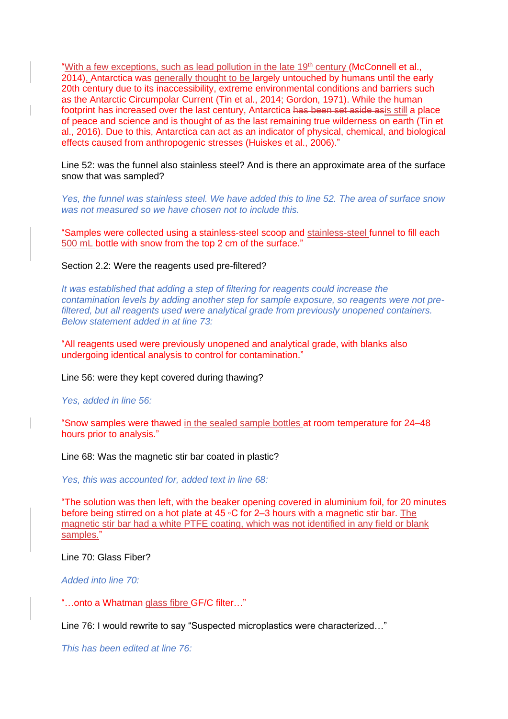"With a few exceptions, such as lead pollution in the late 19<sup>th</sup> century (McConnell et al., 2014). Antarctica was generally thought to be largely untouched by humans until the early 20th century due to its inaccessibility, extreme environmental conditions and barriers such as the Antarctic Circumpolar Current (Tin et al., 2014; Gordon, 1971). While the human footprint has increased over the last century, Antarctica has been set aside asis still a place of peace and science and is thought of as the last remaining true wilderness on earth (Tin et al., 2016). Due to this, Antarctica can act as an indicator of physical, chemical, and biological effects caused from anthropogenic stresses (Huiskes et al., 2006)."

Line 52: was the funnel also stainless steel? And is there an approximate area of the surface snow that was sampled?

*Yes, the funnel was stainless steel. We have added this to line 52. The area of surface snow was not measured so we have chosen not to include this.*

"Samples were collected using a stainless-steel scoop and stainless-steel funnel to fill each 500 mL bottle with snow from the top 2 cm of the surface."

Section 2.2: Were the reagents used pre-filtered?

*It was established that adding a step of filtering for reagents could increase the contamination levels by adding another step for sample exposure, so reagents were not prefiltered, but all reagents used were analytical grade from previously unopened containers. Below statement added in at line 73:*

"All reagents used were previously unopened and analytical grade, with blanks also undergoing identical analysis to control for contamination."

Line 56: were they kept covered during thawing?

*Yes, added in line 56:*

"Snow samples were thawed in the sealed sample bottles at room temperature for 24–48 hours prior to analysis."

Line 68: Was the magnetic stir bar coated in plastic?

*Yes, this was accounted for, added text in line 68:*

"The solution was then left, with the beaker opening covered in aluminium foil, for 20 minutes before being stirred on a hot plate at 45 ◦C for 2–3 hours with a magnetic stir bar. The magnetic stir bar had a white PTFE coating, which was not identified in any field or blank samples."

Line 70: Glass Fiber?

*Added into line 70:*

"…onto a Whatman glass fibre GF/C filter…"

Line 76: I would rewrite to say "Suspected microplastics were characterized…"

*This has been edited at line 76:*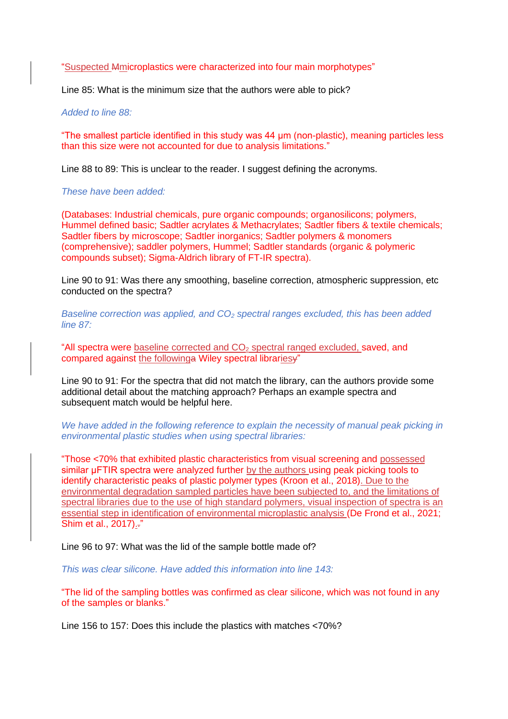"Suspected Mmicroplastics were characterized into four main morphotypes"

Line 85: What is the minimum size that the authors were able to pick?

*Added to line 88:*

"The smallest particle identified in this study was 44 μm (non-plastic), meaning particles less than this size were not accounted for due to analysis limitations."

Line 88 to 89: This is unclear to the reader. I suggest defining the acronyms.

*These have been added:*

(Databases: Industrial chemicals, pure organic compounds; organosilicons; polymers, Hummel defined basic; Sadtler acrylates & Methacrylates; Sadtler fibers & textile chemicals; Sadtler fibers by microscope; Sadtler inorganics; Sadtler polymers & monomers (comprehensive); saddler polymers, Hummel; Sadtler standards (organic & polymeric compounds subset); Sigma-Aldrich library of FT-IR spectra).

Line 90 to 91: Was there any smoothing, baseline correction, atmospheric suppression, etc conducted on the spectra?

*Baseline correction was applied, and CO<sup>2</sup> spectral ranges excluded, this has been added line 87:*

"All spectra were baseline corrected and  $CO<sub>2</sub>$  spectral ranged excluded, saved, and compared against the followinga Wiley spectral librariesy"

Line 90 to 91: For the spectra that did not match the library, can the authors provide some additional detail about the matching approach? Perhaps an example spectra and subsequent match would be helpful here.

*We have added in the following reference to explain the necessity of manual peak picking in environmental plastic studies when using spectral libraries:*

"Those <70% that exhibited plastic characteristics from visual screening and possessed similar μFTIR spectra were analyzed further by the authors using peak picking tools to identify characteristic peaks of plastic polymer types (Kroon et al., 2018). Due to the environmental degradation sampled particles have been subjected to, and the limitations of spectral libraries due to the use of high standard polymers, visual inspection of spectra is an essential step in identification of environmental microplastic analysis (De Frond et al., 2021; Shim et al., 2017).-"

Line 96 to 97: What was the lid of the sample bottle made of?

*This was clear silicone. Have added this information into line 143:*

"The lid of the sampling bottles was confirmed as clear silicone, which was not found in any of the samples or blanks."

Line 156 to 157: Does this include the plastics with matches <70%?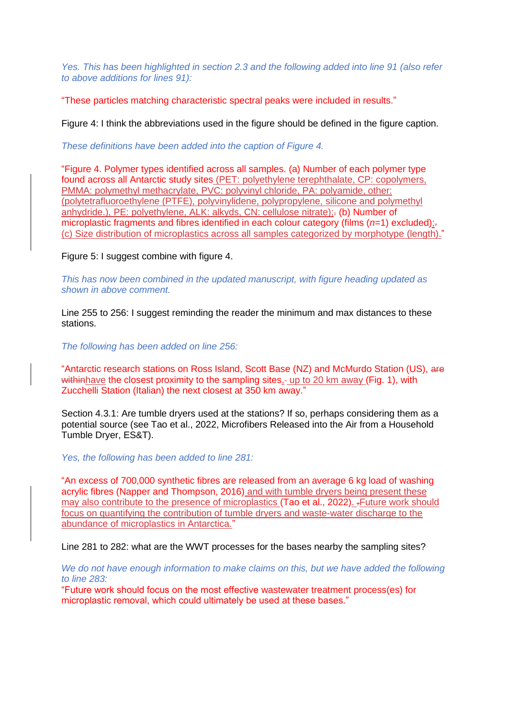*Yes. This has been highlighted in section 2.3 and the following added into line 91 (also refer to above additions for lines 91):*

"These particles matching characteristic spectral peaks were included in results."

Figure 4: I think the abbreviations used in the figure should be defined in the figure caption.

*These definitions have been added into the caption of Figure 4.*

"Figure 4. Polymer types identified across all samples. (a) Number of each polymer type found across all Antarctic study sites (PET: polyethylene terephthalate, CP: copolymers, PMMA: polymethyl methacrylate, PVC: polyvinyl chloride, PA: polyamide, other: (polytetrafluoroethylene (PTFE), polyvinylidene, polypropylene, silicone and polymethyl anhydride.), PE: polyethylene, ALK: alkyds, CN: cellulose nitrate);- (b) Number of microplastic fragments and fibres identified in each colour category (films (*n*=1) excluded);. (c) Size distribution of microplastics across all samples categorized by morphotype (length)."

Figure 5: I suggest combine with figure 4.

*This has now been combined in the updated manuscript, with figure heading updated as shown in above comment.*

Line 255 to 256: I suggest reminding the reader the minimum and max distances to these stations.

*The following has been added on line 256:*

"Antarctic research stations on Ross Island, Scott Base (NZ) and McMurdo Station (US), are withinhave the closest proximity to the sampling sites,- up to 20 km away (Fig. 1), with Zucchelli Station (Italian) the next closest at 350 km away."

Section 4.3.1: Are tumble dryers used at the stations? If so, perhaps considering them as a potential source (see Tao et al., 2022, Microfibers Released into the Air from a Household Tumble Dryer, ES&T).

*Yes, the following has been added to line 281:*

"An excess of 700,000 synthetic fibres are released from an average 6 kg load of washing acrylic fibres (Napper and Thompson, 2016) and with tumble dryers being present these may also contribute to the presence of microplastics (Tao et al., 2022). .Future work should focus on quantifying the contribution of tumble dryers and waste-water discharge to the abundance of microplastics in Antarctica."

Line 281 to 282: what are the WWT processes for the bases nearby the sampling sites?

*We do not have enough information to make claims on this, but we have added the following to line 283:*

"Future work should focus on the most effective wastewater treatment process(es) for microplastic removal, which could ultimately be used at these bases."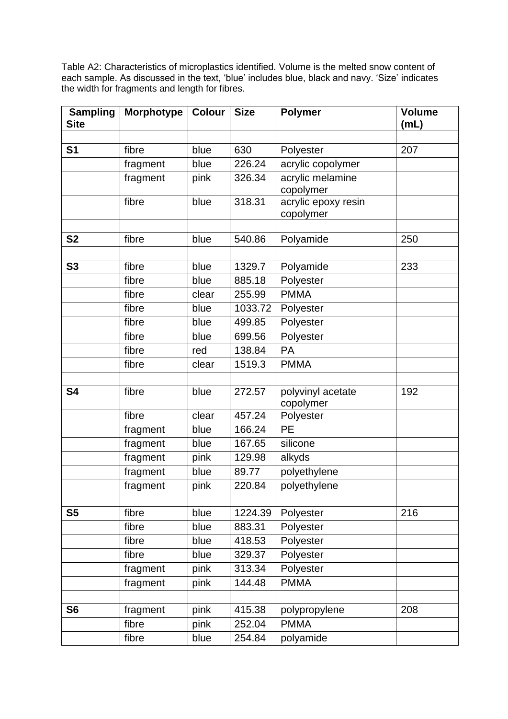Table A2: Characteristics of microplastics identified. Volume is the melted snow content of each sample. As discussed in the text, 'blue' includes blue, black and navy. 'Size' indicates the width for fragments and length for fibres.

| <b>Sampling</b><br><b>Morphotype</b><br><b>Size</b><br><b>Polymer</b><br><b>Volume</b><br><b>Colour</b><br><b>Site</b><br>(mL) |  |
|--------------------------------------------------------------------------------------------------------------------------------|--|
|                                                                                                                                |  |
| S <sub>1</sub><br>630<br>Polyester<br>207<br>fibre<br>blue                                                                     |  |
| 226.24<br>acrylic copolymer<br>fragment<br>blue                                                                                |  |
| acrylic melamine<br>fragment<br>pink<br>326.34                                                                                 |  |
| copolymer                                                                                                                      |  |
| acrylic epoxy resin<br>fibre<br>318.31<br>blue                                                                                 |  |
| copolymer                                                                                                                      |  |
| <b>S2</b><br>fibre<br>540.86<br>Polyamide<br>250<br>blue                                                                       |  |
|                                                                                                                                |  |
| S3<br>fibre<br>Polyamide<br>233<br>blue<br>1329.7                                                                              |  |
| fibre<br>blue<br>885.18<br>Polyester                                                                                           |  |
| <b>PMMA</b><br>fibre<br>clear<br>255.99                                                                                        |  |
| 1033.72<br>fibre<br>blue<br>Polyester                                                                                          |  |
| Polyester<br>fibre<br>blue<br>499.85                                                                                           |  |
| fibre<br>blue<br>699.56<br>Polyester                                                                                           |  |
| fibre<br>138.84<br>PA<br>red                                                                                                   |  |
| 1519.3<br><b>PMMA</b><br>fibre<br>clear                                                                                        |  |
|                                                                                                                                |  |
| 272.57<br>S4<br>fibre<br>polyvinyl acetate<br>192<br>blue                                                                      |  |
| copolymer                                                                                                                      |  |
| fibre<br>457.24<br>clear<br>Polyester                                                                                          |  |
| <b>PE</b><br>166.24<br>fragment<br>blue                                                                                        |  |
| silicone<br>fragment<br>blue<br>167.65                                                                                         |  |
| 129.98<br>fragment<br>alkyds<br>pink                                                                                           |  |
| fragment<br>89.77<br>polyethylene<br>blue                                                                                      |  |
| polyethylene<br>fragment<br>pink<br>220.84                                                                                     |  |
|                                                                                                                                |  |
| S <sub>5</sub><br>blue<br>1224.39<br>216<br>fibre<br>Polyester                                                                 |  |
| 883.31<br>Polyester<br>fibre<br>blue                                                                                           |  |
| Polyester<br>fibre<br>blue<br>418.53                                                                                           |  |
| Polyester<br>fibre<br>329.37<br>blue                                                                                           |  |
| Polyester<br>313.34<br>fragment<br>pink                                                                                        |  |
| <b>PMMA</b><br>pink<br>144.48<br>fragment                                                                                      |  |
| S <sub>6</sub><br>fragment<br>pink<br>415.38<br>208<br>polypropylene                                                           |  |
| fibre<br>pink<br>252.04<br><b>PMMA</b>                                                                                         |  |
| polyamide<br>254.84<br>fibre<br>blue                                                                                           |  |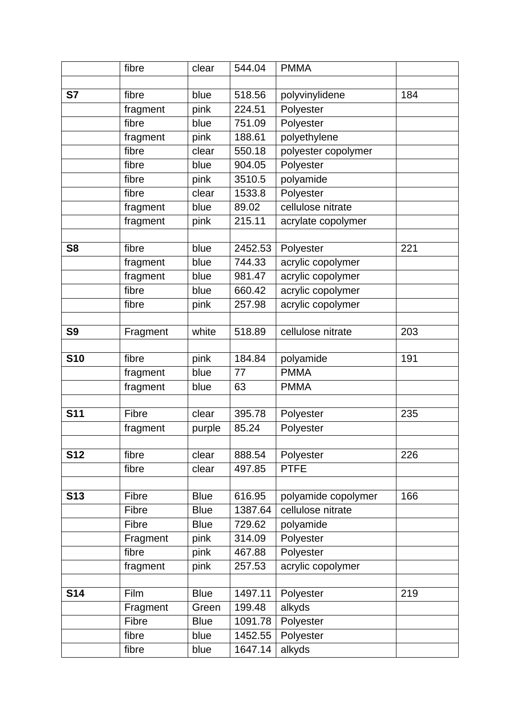|                | fibre    | clear       | 544.04  | <b>PMMA</b>         |     |
|----------------|----------|-------------|---------|---------------------|-----|
|                |          |             |         |                     |     |
| S7             | fibre    | blue        | 518.56  | polyvinylidene      | 184 |
|                | fragment | pink        | 224.51  | Polyester           |     |
|                | fibre    | blue        | 751.09  | Polyester           |     |
|                | fragment | pink        | 188.61  | polyethylene        |     |
|                | fibre    | clear       | 550.18  | polyester copolymer |     |
|                | fibre    | blue        | 904.05  | Polyester           |     |
|                | fibre    | pink        | 3510.5  | polyamide           |     |
|                | fibre    | clear       | 1533.8  | Polyester           |     |
|                | fragment | blue        | 89.02   | cellulose nitrate   |     |
|                | fragment | pink        | 215.11  | acrylate copolymer  |     |
|                |          |             |         |                     |     |
| S <sub>8</sub> | fibre    | blue        | 2452.53 | Polyester           | 221 |
|                | fragment | blue        | 744.33  | acrylic copolymer   |     |
|                | fragment | blue        | 981.47  | acrylic copolymer   |     |
|                | fibre    | blue        | 660.42  | acrylic copolymer   |     |
|                | fibre    | pink        | 257.98  | acrylic copolymer   |     |
|                |          |             |         |                     |     |
| S <sub>9</sub> | Fragment | white       | 518.89  | cellulose nitrate   | 203 |
|                |          |             |         |                     |     |
| <b>S10</b>     | fibre    | pink        | 184.84  | polyamide           | 191 |
|                | fragment | blue        | 77      | <b>PMMA</b>         |     |
|                | fragment | blue        | 63      | <b>PMMA</b>         |     |
|                |          |             |         |                     |     |
| <b>S11</b>     | Fibre    | clear       | 395.78  | Polyester           | 235 |
|                | fragment | purple      | 85.24   | Polyester           |     |
|                |          |             |         |                     |     |
| <b>S12</b>     | fibre    | clear       | 888.54  | Polyester           | 226 |
|                | fibre    | clear       | 497.85  | <b>PTFE</b>         |     |
|                |          |             |         |                     |     |
| <b>S13</b>     | Fibre    | <b>Blue</b> | 616.95  | polyamide copolymer | 166 |
|                | Fibre    | <b>Blue</b> | 1387.64 | cellulose nitrate   |     |
|                | Fibre    | <b>Blue</b> | 729.62  | polyamide           |     |
|                | Fragment | pink        | 314.09  | Polyester           |     |
|                | fibre    | pink        | 467.88  | Polyester           |     |
|                | fragment | pink        | 257.53  | acrylic copolymer   |     |
|                |          |             |         |                     |     |
| <b>S14</b>     | Film     | <b>Blue</b> | 1497.11 | Polyester           | 219 |
|                | Fragment | Green       | 199.48  | alkyds              |     |
|                | Fibre    | <b>Blue</b> | 1091.78 | Polyester           |     |
|                | fibre    | blue        | 1452.55 | Polyester           |     |
|                | fibre    | blue        | 1647.14 | alkyds              |     |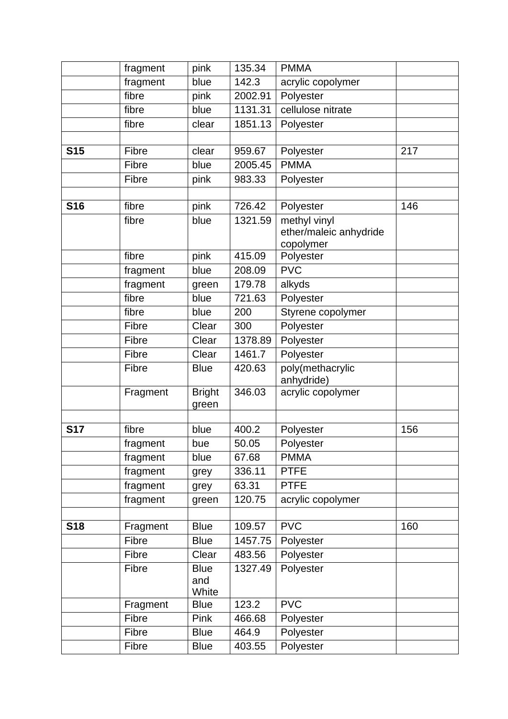|            | fragment | pink                        | 135.34  | <b>PMMA</b>                                         |     |
|------------|----------|-----------------------------|---------|-----------------------------------------------------|-----|
|            | fragment | blue                        | 142.3   | acrylic copolymer                                   |     |
|            | fibre    | pink                        | 2002.91 | Polyester                                           |     |
|            | fibre    | blue                        | 1131.31 | cellulose nitrate                                   |     |
|            | fibre    | clear                       | 1851.13 | Polyester                                           |     |
|            |          |                             |         |                                                     |     |
| <b>S15</b> | Fibre    | clear                       | 959.67  | Polyester                                           | 217 |
|            | Fibre    | blue                        | 2005.45 | <b>PMMA</b>                                         |     |
|            | Fibre    | pink                        | 983.33  | Polyester                                           |     |
|            |          |                             |         |                                                     |     |
| <b>S16</b> | fibre    | pink                        | 726.42  | Polyester                                           | 146 |
|            | fibre    | blue                        | 1321.59 | methyl vinyl<br>ether/maleic anhydride<br>copolymer |     |
|            | fibre    | pink                        | 415.09  | Polyester                                           |     |
|            | fragment | blue                        | 208.09  | <b>PVC</b>                                          |     |
|            | fragment | green                       | 179.78  | alkyds                                              |     |
|            | fibre    | blue                        | 721.63  | Polyester                                           |     |
|            | fibre    | blue                        | 200     | Styrene copolymer                                   |     |
|            | Fibre    | Clear                       | 300     | Polyester                                           |     |
|            | Fibre    | Clear                       | 1378.89 | Polyester                                           |     |
|            | Fibre    | Clear                       | 1461.7  | Polyester                                           |     |
|            | Fibre    | <b>Blue</b>                 | 420.63  | poly(methacrylic<br>anhydride)                      |     |
|            | Fragment | <b>Bright</b><br>green      | 346.03  | acrylic copolymer                                   |     |
|            |          |                             |         |                                                     |     |
| <b>S17</b> | fibre    | blue                        | 400.2   | Polyester                                           | 156 |
|            | fragment | bue                         | 50.05   | Polyester                                           |     |
|            | fragment | blue                        | 67.68   | <b>PMMA</b>                                         |     |
|            | fragment | grey                        | 336.11  | <b>PTFE</b>                                         |     |
|            | fragment | grey                        | 63.31   | <b>PTFE</b>                                         |     |
|            | fragment | green                       | 120.75  | acrylic copolymer                                   |     |
|            |          |                             |         |                                                     |     |
| <b>S18</b> | Fragment | <b>Blue</b>                 | 109.57  | <b>PVC</b>                                          | 160 |
|            | Fibre    | <b>Blue</b>                 | 1457.75 | Polyester                                           |     |
|            | Fibre    | Clear                       | 483.56  | Polyester                                           |     |
|            | Fibre    | <b>Blue</b><br>and<br>White | 1327.49 | Polyester                                           |     |
|            | Fragment | <b>Blue</b>                 | 123.2   | <b>PVC</b>                                          |     |
|            | Fibre    | Pink                        | 466.68  | Polyester                                           |     |
|            | Fibre    | <b>Blue</b>                 | 464.9   | Polyester                                           |     |
|            | Fibre    | <b>Blue</b>                 | 403.55  | Polyester                                           |     |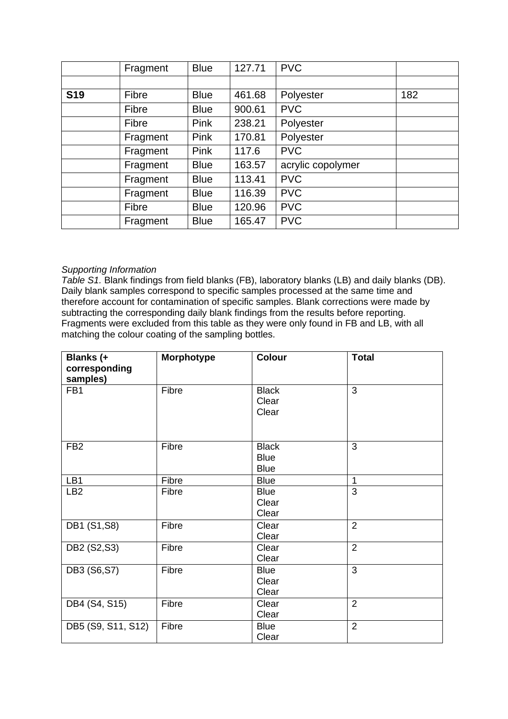|            | Fragment | <b>Blue</b> | 127.71 | <b>PVC</b>        |     |
|------------|----------|-------------|--------|-------------------|-----|
|            |          |             |        |                   |     |
| <b>S19</b> | Fibre    | <b>Blue</b> | 461.68 | Polyester         | 182 |
|            | Fibre    | <b>Blue</b> | 900.61 | <b>PVC</b>        |     |
|            | Fibre    | <b>Pink</b> | 238.21 | Polyester         |     |
|            | Fragment | <b>Pink</b> | 170.81 | Polyester         |     |
|            | Fragment | Pink        | 117.6  | <b>PVC</b>        |     |
|            | Fragment | <b>Blue</b> | 163.57 | acrylic copolymer |     |
|            | Fragment | <b>Blue</b> | 113.41 | <b>PVC</b>        |     |
|            | Fragment | <b>Blue</b> | 116.39 | <b>PVC</b>        |     |
|            | Fibre    | <b>Blue</b> | 120.96 | <b>PVC</b>        |     |
|            | Fragment | <b>Blue</b> | 165.47 | <b>PVC</b>        |     |

# *Supporting Information*

*Table S1.* Blank findings from field blanks (FB), laboratory blanks (LB) and daily blanks (DB). Daily blank samples correspond to specific samples processed at the same time and therefore account for contamination of specific samples. Blank corrections were made by subtracting the corresponding daily blank findings from the results before reporting. Fragments were excluded from this table as they were only found in FB and LB, with all matching the colour coating of the sampling bottles.

| <b>Blanks</b> (+<br>corresponding | <b>Morphotype</b> | Colour       | <b>Total</b>   |
|-----------------------------------|-------------------|--------------|----------------|
| samples)                          |                   |              |                |
| FB <sub>1</sub>                   | Fibre             | <b>Black</b> | $\overline{3}$ |
|                                   |                   | Clear        |                |
|                                   |                   | Clear        |                |
|                                   |                   |              |                |
| FB <sub>2</sub>                   | Fibre             | <b>Black</b> | 3              |
|                                   |                   | <b>Blue</b>  |                |
|                                   |                   | <b>Blue</b>  |                |
| LB1                               | Fibre             | <b>Blue</b>  | $\overline{1}$ |
| LB <sub>2</sub>                   | Fibre             | <b>Blue</b>  | $\overline{3}$ |
|                                   |                   | Clear        |                |
|                                   |                   | Clear        |                |
| DB1 (S1,S8)                       | Fibre             | Clear        | $\overline{2}$ |
|                                   |                   | Clear        |                |
| DB2 (S2,S3)                       | Fibre             | Clear        | $\overline{2}$ |
|                                   |                   | Clear        |                |
| DB3 (S6,S7)                       | Fibre             | <b>Blue</b>  | $\overline{3}$ |
|                                   |                   | Clear        |                |
|                                   |                   | Clear        |                |
| DB4 (S4, S15)                     | Fibre             | Clear        | $\overline{2}$ |
|                                   |                   | Clear        |                |
| DB5 (S9, S11, S12)                | Fibre             | <b>Blue</b>  | $\overline{2}$ |
|                                   |                   | Clear        |                |